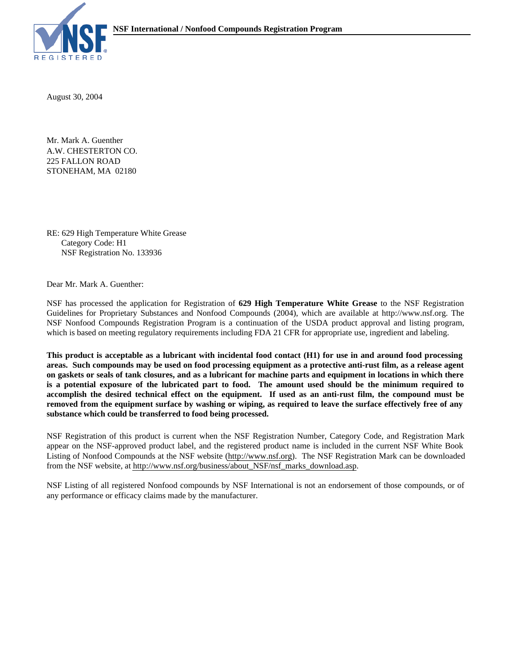

August 30, 2004

A.W. CHESTERTON CO. Mr. Mark A. Guenther 225 FALLON ROAD STONEHAM, MA 02180

RE: 629 High Temperature White Grease Category Code: H1 NSF Registration No. 133936

Dear Mr. Mark A. Guenther:

NSF has processed the application for Registration of **629 High Temperature White Grease** to the NSF Registration Guidelines for Proprietary Substances and Nonfood Compounds (2004), which are available at http://www.nsf.org. The NSF Nonfood Compounds Registration Program is a continuation of the USDA product approval and listing program, which is based on meeting regulatory requirements including FDA 21 CFR for appropriate use, ingredient and labeling.

**This product is acceptable as a lubricant with incidental food contact (H1) for use in and around food processing areas. Such compounds may be used on food processing equipment as a protective anti-rust film, as a release agent on gaskets or seals of tank closures, and as a lubricant for machine parts and equipment in locations in which there is a potential exposure of the lubricated part to food. The amount used should be the minimum required to accomplish the desired technical effect on the equipment. If used as an anti-rust film, the compound must be removed from the equipment surface by washing or wiping, as required to leave the surface effectively free of any substance which could be transferred to food being processed.**

NSF Registration of this product is current when the NSF Registration Number, Category Code, and Registration Mark appear on the NSF-approved product label, and the registered product name is included in the current NSF White Book Listing of Nonfood Compounds at the NSF website (http://www.nsf.org). The NSF Registration Mark can be downloaded from the NSF website, at http://www.nsf.org/business/about\_NSF/nsf\_marks\_download.asp.

NSF Listing of all registered Nonfood compounds by NSF International is not an endorsement of those compounds, or of any performance or efficacy claims made by the manufacturer.